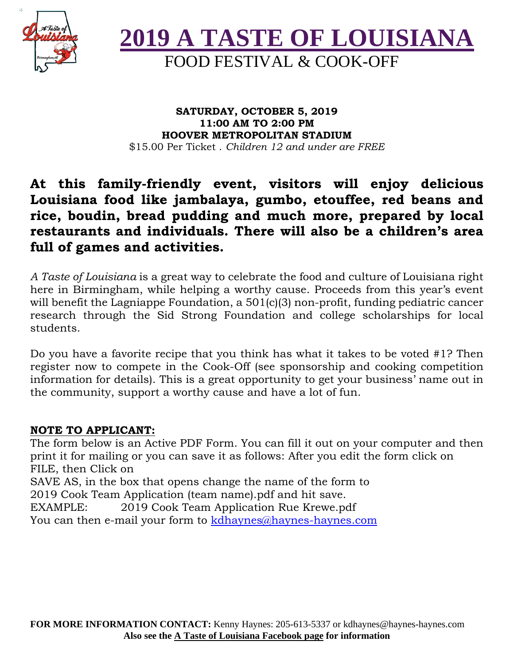



#### **SATURDAY, OCTOBER 5, 2019 11:00 AM TO 2:00 PM HOOVER METROPOLITAN STADIUM** \$15.00 Per Ticket . *Children 12 and under are FREE*

### **At this family-friendly event, visitors will enjoy delicious Louisiana food like jambalaya, gumbo, etouffee, red beans and rice, boudin, bread pudding and much more, prepared by local restaurants and individuals. There will also be a children's area full of games and activities.**

*A Taste of Louisiana* is a great way to celebrate the food and culture of Louisiana right here in Birmingham, while helping a worthy cause. Proceeds from this year's event will benefit the Lagniappe Foundation, a 501(c)(3) non-profit, funding pediatric cancer research through the Sid Strong Foundation and college scholarships for local students.

Do you have a favorite recipe that you think has what it takes to be voted #1? Then register now to compete in the Cook-Off (see sponsorship and cooking competition information for details). This is a great opportunity to get your business' name out in the community, support a worthy cause and have a lot of fun.

### **NOTE TO APPLICANT:**

The form below is an Active PDF Form. You can fill it out on your computer and then print it for mailing or you can save it as follows: After you edit the form click on FILE, then Click on SAVE AS, in the box that opens change the name of the form to 2019 Cook Team Application (team name).pdf and hit save. EXAMPLE: 2019 Cook Team Application Rue Krewe.pdf You can then e-mail your form to kdhaynes@haynes-haynes.com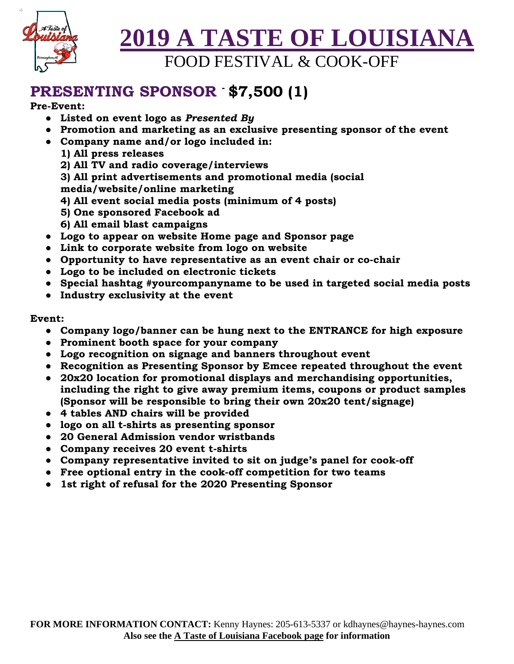

# **PRESENTING SPONSOR - \$7,500 (1)**

#### **Pre-Event:**

- **Listed on event logo as** *Presented By*
- **Promotion and marketing as an exclusive presenting sponsor of the event**
- **Company name and/or logo included in:** 
	- **1) All press releases**
	- **2) All TV and radio coverage/interviews**
	- **3) All print advertisements and promotional media (social**
	- **media/website/online marketing**
	- **4) All event social media posts (minimum of 4 posts)**
	- **5) One sponsored Facebook ad**
	- **6) All email blast campaigns**
- **Logo to appear on website Home page and Sponsor page**
- **Link to corporate website from logo on website**
- **Opportunity to have representative as an event chair or co-chair**
- **Logo to be included on electronic tickets**
- **Special hashtag #yourcompanyname to be used in targeted social media posts**
- **Industry exclusivity at the event**

#### **Event:**

- **Company logo/banner can be hung next to the ENTRANCE for high exposure**
- **Prominent booth space for your company**
- **Logo recognition on signage and banners throughout event**
- **Recognition as Presenting Sponsor by Emcee repeated throughout the event**
- **20x20 location for promotional displays and merchandising opportunities, including the right to give away premium items, coupons or product samples (Sponsor will be responsible to bring their own 20x20 tent/signage)**
- **4 tables AND chairs will be provided**
- **logo on all t-shirts as presenting sponsor**
- **20 General Admission vendor wristbands**
- **Company receives 20 event t-shirts**
- **Company representative invited to sit on judge's panel for cook-off**
- **Free optional entry in the cook-off competition for two teams**
- **1st right of refusal for the 2020 Presenting Sponsor**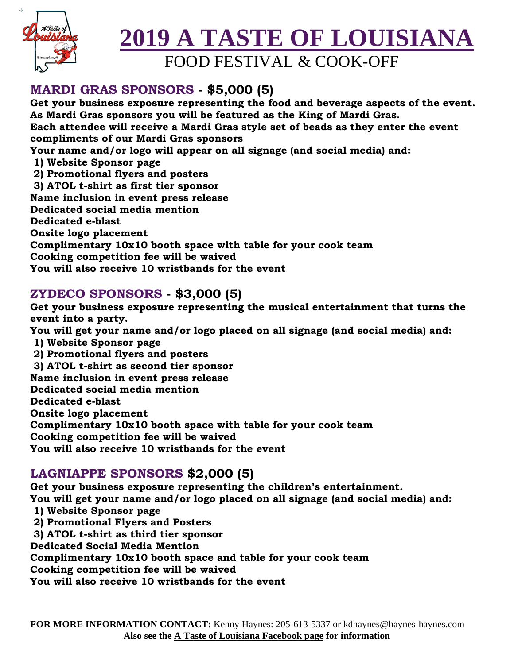

# **2019 A TASTE OF LOUISIANA**

FOOD FESTIVAL & COOK-OFF

### **MARDI GRAS SPONSORS - \$5,000 (5)**

**Get your business exposure representing the food and beverage aspects of the event. As Mardi Gras sponsors you will be featured as the King of Mardi Gras. Each attendee will receive a Mardi Gras style set of beads as they enter the event compliments of our Mardi Gras sponsors Your name and/or logo will appear on all signage (and social media) and: 1) Website Sponsor page 2) Promotional flyers and posters 3) ATOL t-shirt as first tier sponsor Name inclusion in event press release Dedicated social media mention Dedicated e-blast Onsite logo placement Complimentary 10x10 booth space with table for your cook team Cooking competition fee will be waived You will also receive 10 wristbands for the event** 

### **ZYDECO SPONSORS - \$3,000 (5)**

**Get your business exposure representing the musical entertainment that turns the event into a party. You will get your name and/or logo placed on all signage (and social media) and: 1) Website Sponsor page 2) Promotional flyers and posters 3) ATOL t-shirt as second tier sponsor Name inclusion in event press release Dedicated social media mention Dedicated e-blast Onsite logo placement Complimentary 10x10 booth space with table for your cook team** 

**Cooking competition fee will be waived** 

**You will also receive 10 wristbands for the event** 

### **LAGNIAPPE SPONSORS \$2,000 (5)**

**Get your business exposure representing the children's entertainment. You will get your name and/or logo placed on all signage (and social media) and: 1) Website Sponsor page** 

- **2) Promotional Flyers and Posters**
- **3) ATOL t-shirt as third tier sponsor**
- **Dedicated Social Media Mention**

**Complimentary 10x10 booth space and table for your cook team** 

**Cooking competition fee will be waived** 

**You will also receive 10 wristbands for the event**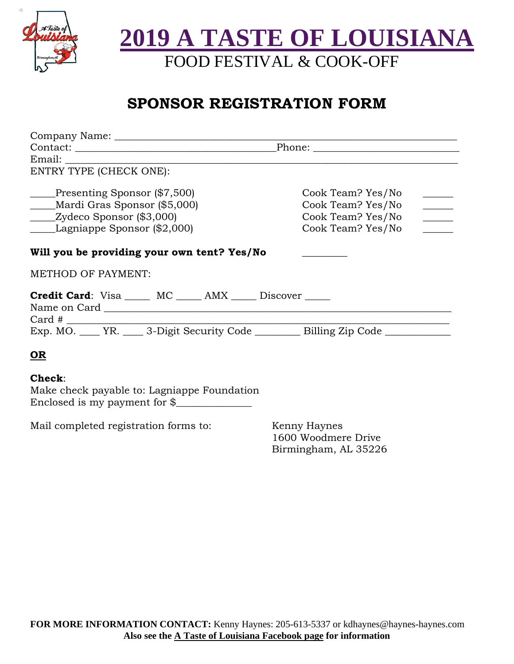

## **SPONSOR REGISTRATION FORM**

| Email:                                                                                                   |                                                                                                                                                                                                                                                                                                                                                                                                                                                                                                                  |
|----------------------------------------------------------------------------------------------------------|------------------------------------------------------------------------------------------------------------------------------------------------------------------------------------------------------------------------------------------------------------------------------------------------------------------------------------------------------------------------------------------------------------------------------------------------------------------------------------------------------------------|
| ENTRY TYPE (CHECK ONE):                                                                                  |                                                                                                                                                                                                                                                                                                                                                                                                                                                                                                                  |
| Presenting Sponsor (\$7,500)                                                                             | Cook Team? Yes/No                                                                                                                                                                                                                                                                                                                                                                                                                                                                                                |
| Mardi Gras Sponsor (\$5,000)                                                                             | Cook Team? Yes/No                                                                                                                                                                                                                                                                                                                                                                                                                                                                                                |
| _____Zydeco Sponsor (\$3,000)                                                                            | $\begin{tabular}{c} \multicolumn{2}{c} {\textbf{1}}\\ \multicolumn{2}{c} {\textbf{2}}\\ \multicolumn{2}{c} {\textbf{3}}\\ \multicolumn{2}{c} {\textbf{4}}\\ \multicolumn{2}{c} {\textbf{5}}\\ \multicolumn{2}{c} {\textbf{6}}\\ \multicolumn{2}{c} {\textbf{6}}\\ \multicolumn{2}{c} {\textbf{6}}\\ \multicolumn{2}{c} {\textbf{7}}\\ \multicolumn{2}{c} {\textbf{8}}\\ \multicolumn{2}{c} {\textbf{9}}\\ \multicolumn{2}{c} {\textbf{1}}\\ \multicolumn{2}{c} {\textbf{1}}\\ \multicolumn$<br>Cook Team? Yes/No |
| Lagniappe Sponsor (\$2,000)                                                                              | Cook Team? Yes/No                                                                                                                                                                                                                                                                                                                                                                                                                                                                                                |
| Will you be providing your own tent? Yes/No                                                              |                                                                                                                                                                                                                                                                                                                                                                                                                                                                                                                  |
| <b>METHOD OF PAYMENT:</b>                                                                                |                                                                                                                                                                                                                                                                                                                                                                                                                                                                                                                  |
| <b>Credit Card:</b> Visa _____ MC _____ AMX _____ Discover _____<br>$Card \#$                            |                                                                                                                                                                                                                                                                                                                                                                                                                                                                                                                  |
| Exp. MO. _____ YR. _____ 3-Digit Security Code ___________ Billing Zip Code ____________                 |                                                                                                                                                                                                                                                                                                                                                                                                                                                                                                                  |
| <u>OR</u>                                                                                                |                                                                                                                                                                                                                                                                                                                                                                                                                                                                                                                  |
| <b>Check:</b><br>Make check payable to: Lagniappe Foundation<br>Enclosed is my payment for $\frac{1}{2}$ |                                                                                                                                                                                                                                                                                                                                                                                                                                                                                                                  |
| Mail completed registration forms to:                                                                    | Kenny Haynes                                                                                                                                                                                                                                                                                                                                                                                                                                                                                                     |

1600 Woodmere Drive Birmingham, AL 35226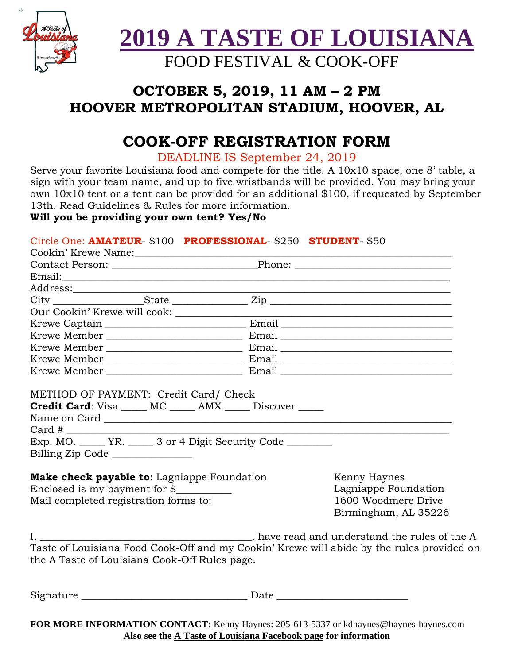

### **OCTOBER 5, 2019, 11 AM – 2 PM HOOVER METROPOLITAN STADIUM, HOOVER, AL**

## **COOK-OFF REGISTRATION FORM**

DEADLINE IS September 24, 2019

Serve your favorite Louisiana food and compete for the title. A 10x10 space, one 8' table, a sign with your team name, and up to five wristbands will be provided. You may bring your own 10x10 tent or a tent can be provided for an additional \$100, if requested by September 13th. Read Guidelines & Rules for more information.

### **Will you be providing your own tent? Yes/No**

### Circle One: **AMATEUR**- \$100 **PROFESSIONAL**- \$250 **STUDENT**- \$50

| <b>Credit Card:</b> Visa _____ MC _____ AMX _____ Discover _____<br>Exp. MO. ______ YR. _____ 3 or 4 Digit Security Code ________<br>Billing Zip Code<br>Make check payable to: Lagniappe Foundation<br>Kenny Haynes<br>Enclosed is my payment for $\frac{8}{2}$<br>Lagniappe Foundation<br>1600 Woodmere Drive<br>Mail completed registration forms to: |                      |  |
|----------------------------------------------------------------------------------------------------------------------------------------------------------------------------------------------------------------------------------------------------------------------------------------------------------------------------------------------------------|----------------------|--|
|                                                                                                                                                                                                                                                                                                                                                          | Birmingham, AL 35226 |  |
| The same state of the A same state of the A same state of the A same state of the A<br>Taste of Louisiana Food Cook-Off and my Cookin' Krewe will abide by the rules provided on<br>the A Taste of Louisiana Cook-Off Rules page.                                                                                                                        |                      |  |

 ${\rm Signature}$   ${\rm Date}$ 

**FOR MORE INFORMATION CONTACT:** Kenny Haynes: 205-613-5337 or kdhaynes@haynes-haynes.com **Also see the A Taste of Louisiana Facebook page for information**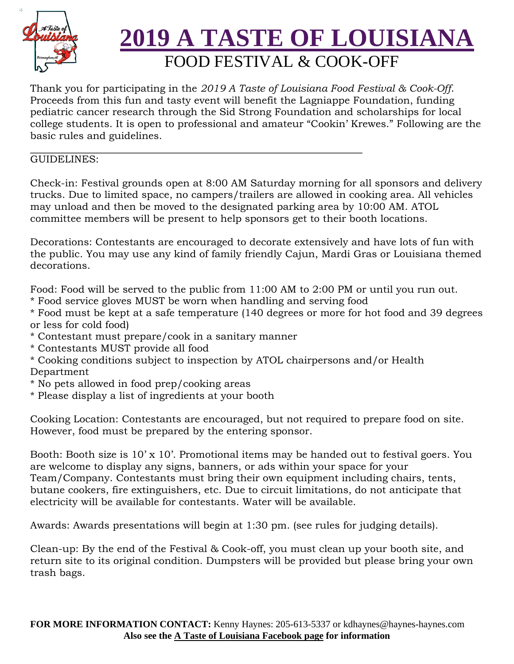

Thank you for participating in the *2019 A Taste of Louisiana Food Festival & Cook-Off*. Proceeds from this fun and tasty event will benefit the Lagniappe Foundation, funding pediatric cancer research through the Sid Strong Foundation and scholarships for local college students. It is open to professional and amateur "Cookin' Krewes." Following are the basic rules and guidelines.

#### GUIDELINES:

Check-in: Festival grounds open at 8:00 AM Saturday morning for all sponsors and delivery trucks. Due to limited space, no campers/trailers are allowed in cooking area. All vehicles may unload and then be moved to the designated parking area by 10:00 AM. ATOL committee members will be present to help sponsors get to their booth locations.

Decorations: Contestants are encouraged to decorate extensively and have lots of fun with the public. You may use any kind of family friendly Cajun, Mardi Gras or Louisiana themed decorations.

Food: Food will be served to the public from 11:00 AM to 2:00 PM or until you run out.

\* Food service gloves MUST be worn when handling and serving food

\* Food must be kept at a safe temperature (140 degrees or more for hot food and 39 degrees or less for cold food)

- \* Contestant must prepare/cook in a sanitary manner
- \* Contestants MUST provide all food
- \* Cooking conditions subject to inspection by ATOL chairpersons and/or Health Department
- \* No pets allowed in food prep/cooking areas
- \* Please display a list of ingredients at your booth

Cooking Location: Contestants are encouraged, but not required to prepare food on site. However, food must be prepared by the entering sponsor.

Booth: Booth size is 10' x 10'. Promotional items may be handed out to festival goers. You are welcome to display any signs, banners, or ads within your space for your Team/Company. Contestants must bring their own equipment including chairs, tents, butane cookers, fire extinguishers, etc. Due to circuit limitations, do not anticipate that electricity will be available for contestants. Water will be available.

Awards: Awards presentations will begin at 1:30 pm. (see rules for judging details).

Clean-up: By the end of the Festival & Cook-off, you must clean up your booth site, and return site to its original condition. Dumpsters will be provided but please bring your own trash bags.